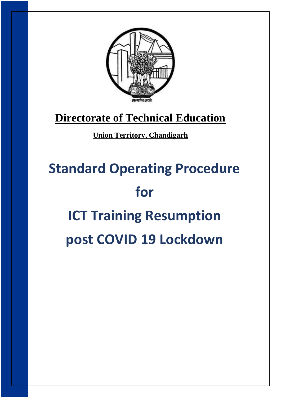

## **[Directorate of Technical Education](http://chdtechnicaleducation.gov.in/)**

### **[Union Territory, Chandigarh](http://chdtechnicaleducation.gov.in/)**

# **Standard Operating Procedure for ICT Training Resumption post COVID 19 Lockdown**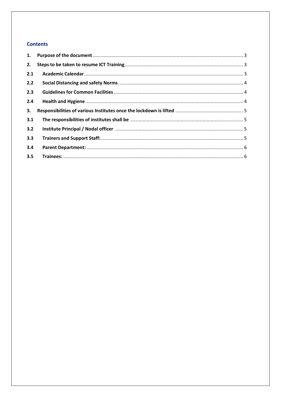#### **Contents**

| 1.  |  |
|-----|--|
| 2.  |  |
| 2.1 |  |
| 2.2 |  |
| 2.3 |  |
| 2.4 |  |
| 3.  |  |
| 3.1 |  |
| 3.2 |  |
| 3.3 |  |
| 3.4 |  |
| 3.5 |  |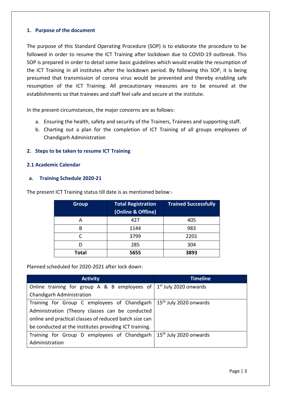#### <span id="page-2-0"></span>**1. Purpose of the document**

The purpose of this Standard Operating Procedure (SOP) is to elaborate the procedure to be followed in order to resume the ICT Training after lockdown due to COVID-19 outbreak. This SOP is prepared in order to detail some basic guidelines which would enable the resumption of the ICT Training in all institutes after the lockdown period. By following this SOP, it is being presumed that transmission of corona virus would be prevented and thereby enabling safe resumption of the ICT Training. All precautionary measures are to be ensured at the establishments so that trainees and staff feel safe and secure at the institute.

In the present circumstances, the major concerns are as follows:

- a. Ensuring the health, safety and security of the Trainers, Trainees and supporting staff.
- b. Charting out a plan for the completion of ICT Training of all groups employees of Chandigarh Administration

#### <span id="page-2-1"></span>**2. Steps to be taken to resume ICT Training**

#### <span id="page-2-2"></span>**2.1 Academic Calendar**

#### **a. Training Schedule 2020-21**

| <b>Group</b> | <b>Total Registration</b><br>(Online & Offline) | <b>Trained Successfully</b> |
|--------------|-------------------------------------------------|-----------------------------|
| А            | 427                                             | 405                         |
| B            | 1144                                            | 983                         |
|              | 3799                                            | 2201                        |
|              | 285                                             | 304                         |
| <b>Total</b> | 5655                                            | 3893                        |

The present ICT Training status till date is as mentioned below:-

Planned scheduled for 2020-2021 after lock down:

| <b>Activity</b>                                                         | <b>Timeline</b>                    |
|-------------------------------------------------------------------------|------------------------------------|
| Online training for group A & B employees of $1^{st}$ July 2020 onwards |                                    |
| Chandigarh Administration                                               |                                    |
| Training for Group C employees of Chandigarh                            | 15 <sup>th</sup> July 2020 onwards |
| Administration (Theory classes can be conducted                         |                                    |
| online and practical classes of reduced batch size can                  |                                    |
| be conducted at the institutes providing ICT training.                  |                                    |
| Training for Group D employees of Chandigarh                            | 15 <sup>th</sup> July 2020 onwards |
| Administration                                                          |                                    |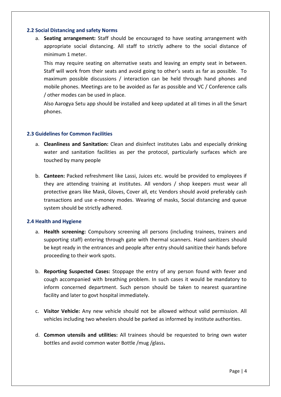#### <span id="page-3-0"></span>**2.2 Social Distancing and safety Norms**

a. **Seating arrangement:** Staff should be encouraged to have seating arrangement with appropriate social distancing. All staff to strictly adhere to the social distance of minimum 1 meter.

This may require seating on alternative seats and leaving an empty seat in between. Staff will work from their seats and avoid going to other's seats as far as possible. To maximum possible discussions / interaction can be held through hand phones and mobile phones. Meetings are to be avoided as far as possible and VC / Conference calls / other modes can be used in place.

Also Aarogya Setu app should be installed and keep updated at all times in all the Smart phones.

#### **2.3 Guidelines for Common Facilities**

- a. **Cleanliness and Sanitation:** Clean and disinfect institutes Labs and especially drinking water and sanitation facilities as per the protocol, particularly surfaces which are touched by many people
- b. **Canteen:** Packed refreshment like Lassi, Juices etc. would be provided to employees if they are attending training at institutes. All vendors / shop keepers must wear all protective gears like Mask, Gloves, Cover all, etc Vendors should avoid preferably cash transactions and use e-money modes. Wearing of masks, Social distancing and queue system should be strictly adhered.

#### <span id="page-3-1"></span>**2.4 Health and Hygiene**

- a. **Health screening:** Compulsory screening all persons (including trainees, trainers and supporting staff) entering through gate with thermal scanners. Hand sanitizers should be kept ready in the entrances and people after entry should sanitize their hands before proceeding to their work spots.
- b. **Reporting Suspected Cases:** Stoppage the entry of any person found with fever and cough accompanied with breathing problem. In such cases it would be mandatory to inform concerned department. Such person should be taken to nearest quarantine facility and later to govt hospital immediately.
- c. **Visitor Vehicle:** Any new vehicle should not be allowed without valid permission. All vehicles including two wheelers should be parked as informed by institute authorities.
- d. **Common utensils and utilities:** All trainees should be requested to bring own water bottles and avoid common water Bottle /mug /glass**.**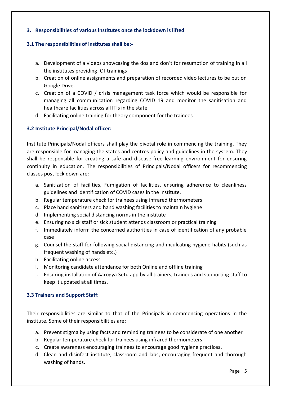#### <span id="page-4-0"></span>**3. Responsibilities of various institutes once the lockdown is lifted**

#### **3.1 The responsibilities of institutes shall be:-**

- a. Development of a videos showcasing the dos and don't for resumption of training in all the institutes providing ICT trainings
- b. Creation of online assignments and preparation of recorded video lectures to be put on Google Drive.
- c. Creation of a COVID / crisis management task force which would be responsible for managing all communication regarding COVID 19 and monitor the sanitisation and healthcare facilities across all ITIs in the state
- d. Facilitating online training for theory component for the trainees

#### **3.2 Institute Principal/Nodal officer:**

Institute Principals/Nodal officers shall play the pivotal role in commencing the training. They are responsible for managing the states and centres policy and guidelines in the system. They shall be responsible for creating a safe and disease-free learning environment for ensuring continuity in education. The responsibilities of Principals/Nodal officers for recommencing classes post lock down are:

- a. Sanitization of facilities, Fumigation of facilities, ensuring adherence to cleanliness guidelines and identification of COVID cases in the institute.
- b. Regular temperature check for trainees using infrared thermometers
- c. Place hand sanitizers and hand washing facilities to maintain hygiene
- d. Implementing social distancing norms in the institute
- e. Ensuring no sick staff or sick student attends classroom or practical training
- f. Immediately inform the concerned authorities in case of identification of any probable case
- g. Counsel the staff for following social distancing and inculcating hygiene habits (such as frequent washing of hands etc.)
- h. Facilitating online access
- i. Monitoring candidate attendance for both Online and offline training
- j. Ensuring installation of Aarogya Setu app by all trainers, trainees and supporting staff to keep it updated at all times.

#### <span id="page-4-1"></span>**3.3 Trainers and Support Staff:**

Their responsibilities are similar to that of the Principals in commencing operations in the institute. Some of their responsibilities are:

- a. Prevent stigma by using facts and reminding trainees to be considerate of one another
- b. Regular temperature check for trainees using infrared thermometers.
- c. Create awareness encouraging trainees to encourage good hygiene practices.
- d. Clean and disinfect institute, classroom and labs, encouraging frequent and thorough washing of hands.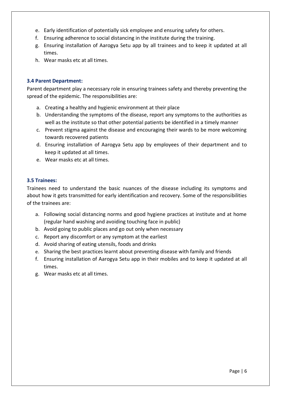- e. Early identification of potentially sick employee and ensuring safety for others.
- f. Ensuring adherence to social distancing in the institute during the training.
- g. Ensuring installation of Aarogya Setu app by all trainees and to keep it updated at all times.
- h. Wear masks etc at all times.

#### <span id="page-5-0"></span>**3.4 Parent Department:**

Parent department play a necessary role in ensuring trainees safety and thereby preventing the spread of the epidemic. The responsibilities are:

- a. Creating a healthy and hygienic environment at their place
- b. Understanding the symptoms of the disease, report any symptoms to the authorities as well as the institute so that other potential patients be identified in a timely manner
- c. Prevent stigma against the disease and encouraging their wards to be more welcoming towards recovered patients
- d. Ensuring installation of Aarogya Setu app by employees of their department and to keep it updated at all times.
- e. Wear masks etc at all times.

#### <span id="page-5-1"></span>**3.5 Trainees:**

Trainees need to understand the basic nuances of the disease including its symptoms and about how it gets transmitted for early identification and recovery. Some of the responsibilities of the trainees are:

- a. Following social distancing norms and good hygiene practices at institute and at home (regular hand washing and avoiding touching face in public)
- b. Avoid going to public places and go out only when necessary
- c. Report any discomfort or any symptom at the earliest
- d. Avoid sharing of eating utensils, foods and drinks
- e. Sharing the best practices learnt about preventing disease with family and friends
- f. Ensuring installation of Aarogya Setu app in their mobiles and to keep it updated at all times.
- g. Wear masks etc at all times.